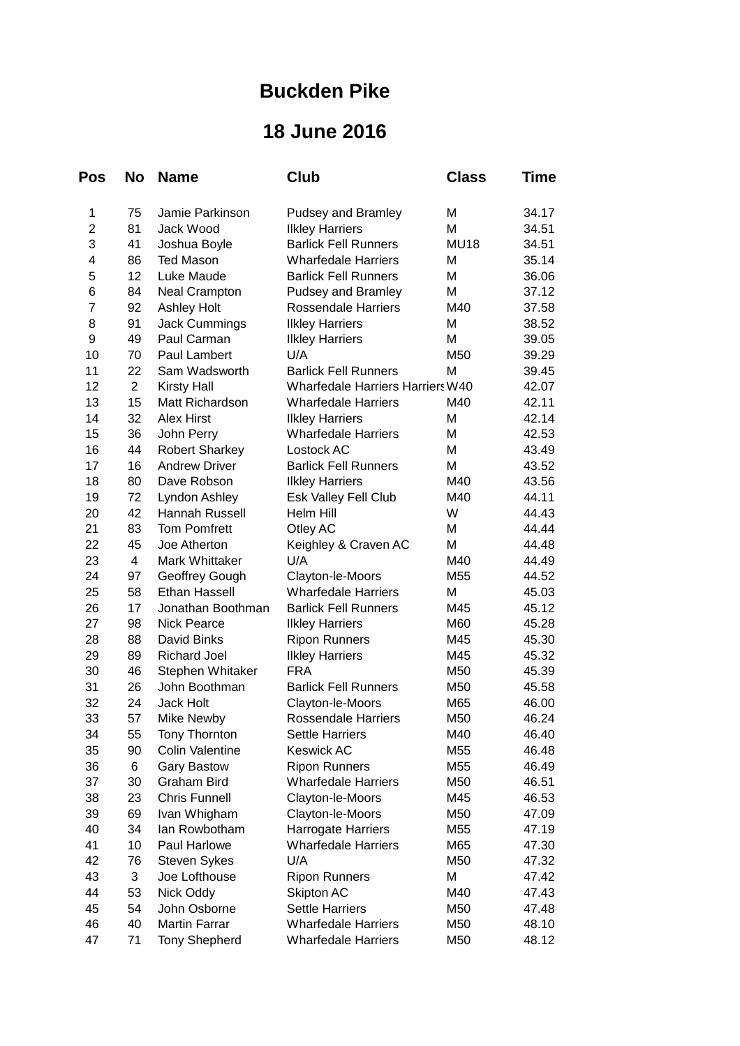## **Buckden Pike**

## **18 June 2016**

| Pos            | No             | <b>Name</b>           | Club                                    | <b>Class</b> | Time  |
|----------------|----------------|-----------------------|-----------------------------------------|--------------|-------|
| 1              | 75             | Jamie Parkinson       | <b>Pudsey and Bramley</b>               | M            | 34.17 |
| $\overline{c}$ | 81             | Jack Wood             | <b>Ilkley Harriers</b>                  | M            | 34.51 |
| 3              | 41             | Joshua Boyle          | <b>Barlick Fell Runners</b>             | <b>MU18</b>  | 34.51 |
| 4              | 86             | <b>Ted Mason</b>      | <b>Wharfedale Harriers</b>              | M            | 35.14 |
| 5              | 12             | Luke Maude            | <b>Barlick Fell Runners</b>             | M            | 36.06 |
| 6              | 84             | <b>Neal Crampton</b>  | Pudsey and Bramley                      | M            | 37.12 |
| $\overline{7}$ | 92             | <b>Ashley Holt</b>    | <b>Rossendale Harriers</b>              | M40          | 37.58 |
| 8              | 91             | <b>Jack Cummings</b>  | <b>Ilkley Harriers</b>                  | M            | 38.52 |
| 9              | 49             | Paul Carman           | <b>Ilkley Harriers</b>                  | M            | 39.05 |
| 10             | 70             | Paul Lambert          | U/A                                     | M50          | 39.29 |
| 11             | 22             | Sam Wadsworth         | <b>Barlick Fell Runners</b>             | M            | 39.45 |
| 12             | $\overline{c}$ | <b>Kirsty Hall</b>    | <b>Wharfedale Harriers Harriers W40</b> |              | 42.07 |
| 13             | 15             | Matt Richardson       | <b>Wharfedale Harriers</b>              | M40          | 42.11 |
| 14             | 32             | <b>Alex Hirst</b>     | <b>Ilkley Harriers</b>                  | M            | 42.14 |
| 15             | 36             | John Perry            | <b>Wharfedale Harriers</b>              | м            | 42.53 |
| 16             | 44             | <b>Robert Sharkey</b> | Lostock AC                              | M            | 43.49 |
| 17             | 16             | <b>Andrew Driver</b>  | <b>Barlick Fell Runners</b>             | M            | 43.52 |
| 18             | 80             | Dave Robson           | <b>Ilkley Harriers</b>                  | M40          | 43.56 |
| 19             | 72             | Lyndon Ashley         | Esk Valley Fell Club                    | M40          | 44.11 |
| 20             | 42             | Hannah Russell        | Helm Hill                               | W            | 44.43 |
| 21             | 83             | <b>Tom Pomfrett</b>   | Otley AC                                | M            | 44.44 |
| 22             | 45             | Joe Atherton          | Keighley & Craven AC                    | M            | 44.48 |
| 23             | 4              | Mark Whittaker        | U/A                                     | M40          | 44.49 |
| 24             | 97             | Geoffrey Gough        | Clayton-le-Moors                        | M55          | 44.52 |
| 25             | 58             | <b>Ethan Hassell</b>  | <b>Wharfedale Harriers</b>              | M            | 45.03 |
| 26             | 17             | Jonathan Boothman     | <b>Barlick Fell Runners</b>             | M45          | 45.12 |
| 27             | 98             | <b>Nick Pearce</b>    | <b>Ilkley Harriers</b>                  | M60          | 45.28 |
| 28             | 88             | David Binks           | <b>Ripon Runners</b>                    | M45          | 45.30 |
| 29             | 89             | <b>Richard Joel</b>   | <b>Ilkley Harriers</b>                  | M45          | 45.32 |
| 30             | 46             | Stephen Whitaker      | <b>FRA</b>                              | M50          | 45.39 |
| 31             | 26             | John Boothman         | <b>Barlick Fell Runners</b>             | M50          | 45.58 |
| 32             | 24             | Jack Holt             | Clayton-le-Moors                        | M65          | 46.00 |
| 33             | 57             | Mike Newby            | <b>Rossendale Harriers</b>              | M50          | 46.24 |
| 34             | 55             | Tony Thornton         | Settle Harriers                         | M40          | 46.40 |
| 35             | 90             | Colin Valentine       | <b>Keswick AC</b>                       | M55          | 46.48 |
| 36             | 6              | <b>Gary Bastow</b>    | <b>Ripon Runners</b>                    | M55          | 46.49 |
| 37             | 30             | <b>Graham Bird</b>    | <b>Wharfedale Harriers</b>              | M50          | 46.51 |
| 38             | 23             | <b>Chris Funnell</b>  | Clayton-le-Moors                        | M45          | 46.53 |
| 39             | 69             | Ivan Whigham          | Clayton-le-Moors                        | M50          | 47.09 |
| 40             | 34             | lan Rowbotham         | Harrogate Harriers                      | M55          | 47.19 |
| 41             | 10             | Paul Harlowe          | <b>Wharfedale Harriers</b>              | M65          | 47.30 |
| 42             | 76             | <b>Steven Sykes</b>   | U/A                                     | M50          | 47.32 |
| 43             | 3              | Joe Lofthouse         | <b>Ripon Runners</b>                    | M            | 47.42 |
| 44             | 53             | Nick Oddy             | Skipton AC                              | M40          | 47.43 |
| 45             | 54             | John Osborne          | <b>Settle Harriers</b>                  | M50          | 47.48 |
| 46             | 40             | <b>Martin Farrar</b>  | <b>Wharfedale Harriers</b>              | M50          | 48.10 |
| 47             | 71             | <b>Tony Shepherd</b>  | <b>Wharfedale Harriers</b>              | M50          | 48.12 |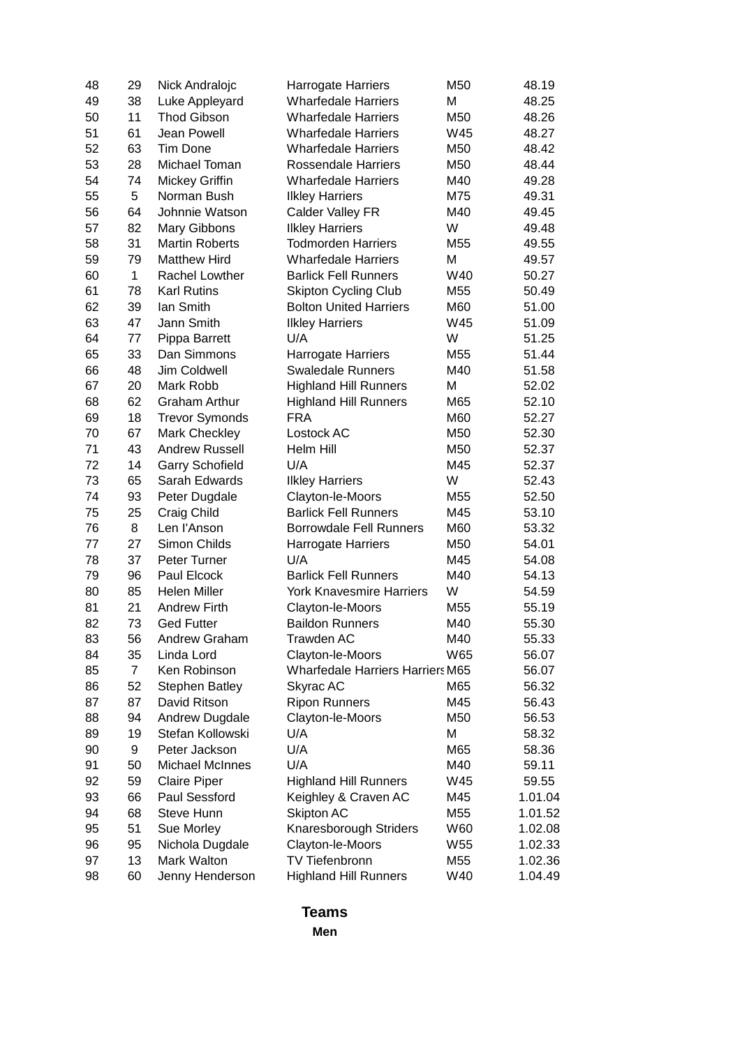| 48 | 29          | Nick Andralojc         | <b>Harrogate Harriers</b>               | M50 | 48.19   |
|----|-------------|------------------------|-----------------------------------------|-----|---------|
| 49 | 38          | Luke Appleyard         | <b>Wharfedale Harriers</b>              | M   | 48.25   |
| 50 | 11          | <b>Thod Gibson</b>     | <b>Wharfedale Harriers</b>              | M50 | 48.26   |
| 51 | 61          | Jean Powell            | <b>Wharfedale Harriers</b>              | W45 | 48.27   |
| 52 | 63          | <b>Tim Done</b>        | <b>Wharfedale Harriers</b>              | M50 | 48.42   |
| 53 | 28          | Michael Toman          | <b>Rossendale Harriers</b>              | M50 | 48.44   |
| 54 | 74          | Mickey Griffin         | <b>Wharfedale Harriers</b>              | M40 | 49.28   |
| 55 | 5           | Norman Bush            | <b>Ilkley Harriers</b>                  | M75 | 49.31   |
| 56 | 64          | Johnnie Watson         | Calder Valley FR                        | M40 | 49.45   |
| 57 | 82          | Mary Gibbons           | <b>Ilkley Harriers</b>                  | W   | 49.48   |
| 58 | 31          | <b>Martin Roberts</b>  | <b>Todmorden Harriers</b>               | M55 | 49.55   |
| 59 | 79          | <b>Matthew Hird</b>    | <b>Wharfedale Harriers</b>              | M   | 49.57   |
| 60 | $\mathbf 1$ | Rachel Lowther         | <b>Barlick Fell Runners</b>             | W40 | 50.27   |
| 61 | 78          | <b>Karl Rutins</b>     | <b>Skipton Cycling Club</b>             | M55 | 50.49   |
| 62 | 39          | Ian Smith              | <b>Bolton United Harriers</b>           | M60 | 51.00   |
| 63 | 47          | Jann Smith             | <b>Ilkley Harriers</b>                  | W45 | 51.09   |
| 64 | 77          | Pippa Barrett          | U/A                                     | W   | 51.25   |
| 65 | 33          | Dan Simmons            | <b>Harrogate Harriers</b>               | M55 | 51.44   |
| 66 | 48          | Jim Coldwell           | <b>Swaledale Runners</b>                | M40 | 51.58   |
| 67 | 20          | Mark Robb              | <b>Highland Hill Runners</b>            | M   | 52.02   |
| 68 | 62          | <b>Graham Arthur</b>   | <b>Highland Hill Runners</b>            | M65 | 52.10   |
| 69 | 18          | <b>Trevor Symonds</b>  | <b>FRA</b>                              | M60 | 52.27   |
| 70 | 67          | Mark Checkley          | Lostock AC                              | M50 | 52.30   |
| 71 | 43          | Andrew Russell         | Helm Hill                               | M50 | 52.37   |
| 72 | 14          | <b>Garry Schofield</b> | U/A                                     | M45 | 52.37   |
| 73 | 65          | Sarah Edwards          | <b>Ilkley Harriers</b>                  | W   | 52.43   |
| 74 | 93          | Peter Dugdale          | Clayton-le-Moors                        | M55 | 52.50   |
| 75 | 25          | Craig Child            | <b>Barlick Fell Runners</b>             | M45 | 53.10   |
| 76 | 8           | Len l'Anson            | <b>Borrowdale Fell Runners</b>          | M60 | 53.32   |
| 77 | 27          | Simon Childs           | <b>Harrogate Harriers</b>               | M50 | 54.01   |
| 78 | 37          | Peter Turner           | U/A                                     | M45 | 54.08   |
| 79 | 96          | Paul Elcock            | <b>Barlick Fell Runners</b>             | M40 | 54.13   |
| 80 | 85          | <b>Helen Miller</b>    | <b>York Knavesmire Harriers</b>         | W   | 54.59   |
| 81 | 21          | <b>Andrew Firth</b>    | Clayton-le-Moors                        | M55 | 55.19   |
| 82 | 73          | <b>Ged Futter</b>      | <b>Baildon Runners</b>                  | M40 | 55.30   |
| 83 | 56          | Andrew Graham          | Trawden AC                              | M40 | 55.33   |
| 84 | 35          | Linda Lord             | Clayton-le-Moors                        | W65 | 56.07   |
| 85 | 7           | Ken Robinson           | <b>Wharfedale Harriers Harriers M65</b> |     | 56.07   |
| 86 | 52          | <b>Stephen Batley</b>  | Skyrac AC                               | M65 | 56.32   |
| 87 | 87          | David Ritson           | <b>Ripon Runners</b>                    | M45 | 56.43   |
| 88 | 94          | Andrew Dugdale         | Clayton-le-Moors                        | M50 | 56.53   |
| 89 | 19          | Stefan Kollowski       | U/A                                     | M   | 58.32   |
| 90 | 9           | Peter Jackson          | U/A                                     | M65 | 58.36   |
| 91 | 50          | <b>Michael McInnes</b> | U/A                                     | M40 | 59.11   |
| 92 | 59          | <b>Claire Piper</b>    | <b>Highland Hill Runners</b>            | W45 | 59.55   |
| 93 | 66          | Paul Sessford          | Keighley & Craven AC                    | M45 | 1.01.04 |
| 94 | 68          | Steve Hunn             | Skipton AC                              | M55 | 1.01.52 |
| 95 | 51          | Sue Morley             | Knaresborough Striders                  | W60 | 1.02.08 |
| 96 | 95          | Nichola Dugdale        | Clayton-le-Moors                        | W55 | 1.02.33 |
| 97 | 13          | Mark Walton            | TV Tiefenbronn                          | M55 | 1.02.36 |
| 98 | 60          | Jenny Henderson        | <b>Highland Hill Runners</b>            | W40 | 1.04.49 |
|    |             |                        |                                         |     |         |

## **Teams**

**Men**